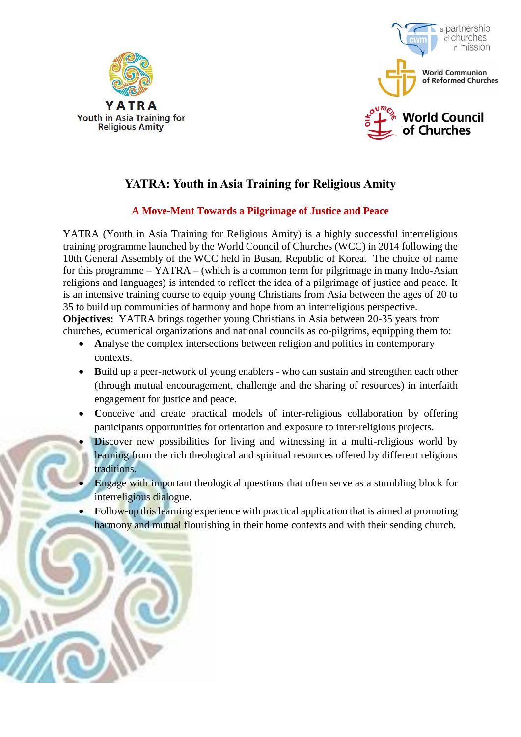



# **YATRA: Youth in Asia Training for Religious Amity**

# **A Move-Ment Towards a Pilgrimage of Justice and Peace**

YATRA (Youth in Asia Training for Religious Amity) is a highly successful interreligious training programme launched by the World Council of Churches (WCC) in 2014 following the 10th General Assembly of the WCC held in Busan, Republic of Korea. The choice of name for this programme – YATRA – (which is a common term for pilgrimage in many Indo-Asian religions and languages) is intended to reflect the idea of a pilgrimage of justice and peace. It is an intensive training course to equip young Christians from Asia between the ages of 20 to 35 to build up communities of harmony and hope from an interreligious perspective.

**Objectives:** YATRA brings together young Christians in Asia between 20-35 years from churches, ecumenical organizations and national councils as co-pilgrims, equipping them to:

- **A**nalyse the complex intersections between religion and politics in contemporary contexts.
- **B**uild up a peer-network of young enablers who can sustain and strengthen each other (through mutual encouragement, challenge and the sharing of resources) in interfaith engagement for justice and peace.
- **C**onceive and create practical models of inter-religious collaboration by offering participants opportunities for orientation and exposure to inter-religious projects.
- **Discover new possibilities for living and witnessing in a multi-religious world by** learning from the rich theological and spiritual resources offered by different religious traditions.
- **Engage with important theological questions that often serve as a stumbling block for** interreligious dialogue.
- **F**ollow-up this learning experience with practical application that is aimed at promoting harmony and mutual flourishing in their home contexts and with their sending church.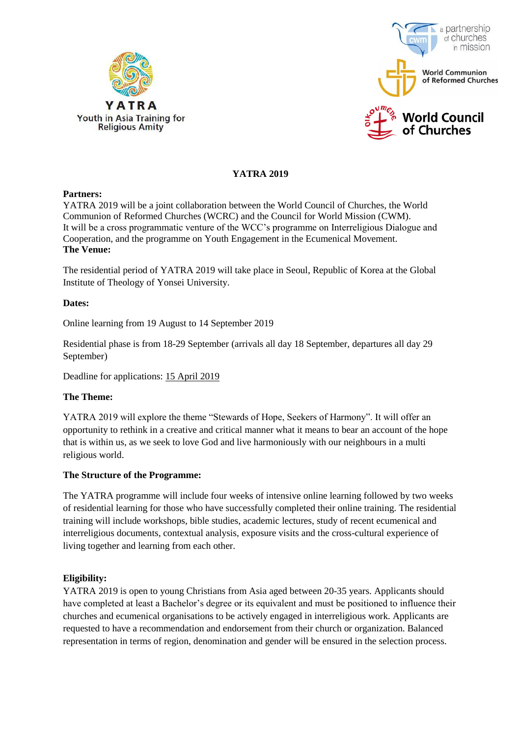



## **YATRA 2019**

#### **Partners:**

YATRA 2019 will be a joint collaboration between the World Council of Churches, the World Communion of Reformed Churches (WCRC) and the Council for World Mission (CWM). It will be a cross programmatic venture of the WCC's programme on Interreligious Dialogue and Cooperation, and the programme on Youth Engagement in the Ecumenical Movement. **The Venue:** 

The residential period of YATRA 2019 will take place in Seoul, Republic of Korea at the Global Institute of Theology of Yonsei University.

#### **Dates:**

Online learning from 19 August to 14 September 2019

Residential phase is from 18-29 September (arrivals all day 18 September, departures all day 29 September)

Deadline for applications: 15 April 2019

#### **The Theme:**

YATRA 2019 will explore the theme "Stewards of Hope, Seekers of Harmony". It will offer an opportunity to rethink in a creative and critical manner what it means to bear an account of the hope that is within us, as we seek to love God and live harmoniously with our neighbours in a multi religious world.

#### **The Structure of the Programme:**

The YATRA programme will include four weeks of intensive online learning followed by two weeks of residential learning for those who have successfully completed their online training. The residential training will include workshops, bible studies, academic lectures, study of recent ecumenical and interreligious documents, contextual analysis, exposure visits and the cross-cultural experience of living together and learning from each other.

### **Eligibility:**

YATRA 2019 is open to young Christians from Asia aged between 20-35 years. Applicants should have completed at least a Bachelor's degree or its equivalent and must be positioned to influence their churches and ecumenical organisations to be actively engaged in interreligious work. Applicants are requested to have a recommendation and endorsement from their church or organization. Balanced representation in terms of region, denomination and gender will be ensured in the selection process.